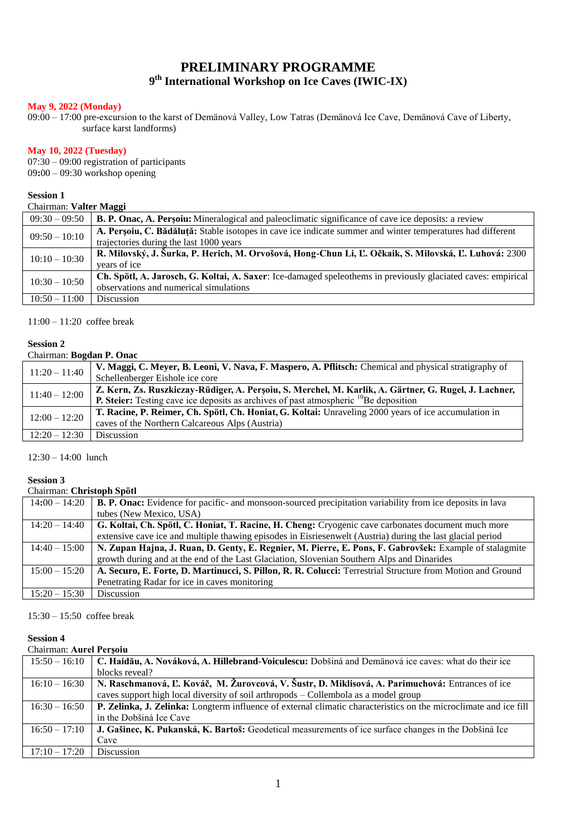# **PRELIMINARY PROGRAMME 9 th International Workshop on Ice Caves (IWIC-IX)**

#### **May 9, 2022 (Monday)**

09:00 – 17:00 pre-excursion to the karst of Demänová Valley, Low Tatras (Demänová Ice Cave, Demänová Cave of Liberty, surface karst landforms)

#### **May 10, 2022 (Tuesday)**

07:30 – 09:00 registration of participants 09**:**00 – 09:30 workshop opening

## **Session 1**

#### Chairman: **Valter Maggi**

|                 | -----                                                                                                        |  |  |
|-----------------|--------------------------------------------------------------------------------------------------------------|--|--|
| $09:30 - 09:50$ | <b>B. P. Onac, A. Persoiu:</b> Mineralogical and paleoclimatic significance of cave ice deposits: a review   |  |  |
| $09:50 - 10:10$ | A. Persoiu, C. Bădăluță: Stable isotopes in cave ice indicate summer and winter temperatures had different   |  |  |
|                 | trajectories during the last 1000 years                                                                      |  |  |
| $10:10 - 10:30$ | R. Milovský, J. Šurka, P. Herich, M. Orvošová, Hong-Chun Li, Ľ. Očkaik, S. Milovská, Ľ. Luhová: 2300         |  |  |
|                 | vears of ice                                                                                                 |  |  |
| $10:30 - 10:50$ | Ch. Spötl, A. Jarosch, G. Koltai, A. Saxer: Ice-damaged speleothems in previously glaciated caves: empirical |  |  |
|                 | observations and numerical simulations                                                                       |  |  |
| $10:50 - 11:00$ | <b>Discussion</b>                                                                                            |  |  |

 $11:00 - 11:20$  coffee break

#### **Session 2**

#### Chairman: **Bogdan P. Onac**

| $11:20 - 11:40$ | V. Maggi, C. Meyer, B. Leoni, V. Nava, F. Maspero, A. Pflitsch: Chemical and physical stratigraphy of |
|-----------------|-------------------------------------------------------------------------------------------------------|
|                 | Schellenberger Eishole ice core                                                                       |
| $11:40 - 12:00$ | Z. Kern, Zs. Ruszkiczay-Rüdiger, A. Persoiu, S. Merchel, M. Karlik, A. Gärtner, G. Rugel, J. Lachner, |
|                 | <b>P. Steier:</b> Testing cave ice deposits as archives of past atmospheric $^{10}$ Be deposition     |
| $12:00 - 12:20$ | T. Racine, P. Reimer, Ch. Spötl, Ch. Honiat, G. Koltai: Unraveling 2000 years of ice accumulation in  |
|                 | caves of the Northern Calcareous Alps (Austria)                                                       |
| $12:20 - 12:30$ | <b>Discussion</b>                                                                                     |

12:30 – 14:00 lunch

#### **Session 3**

#### Chairman: **Christoph Spötl**

| $14:00 - 14:20$ | <b>B. P. Onac:</b> Evidence for pacific- and monsoon-sourced precipitation variability from ice deposits in lava |
|-----------------|------------------------------------------------------------------------------------------------------------------|
|                 | tubes (New Mexico, USA)                                                                                          |
| $14:20 - 14:40$ | G. Koltai, Ch. Spötl, C. Honiat, T. Racine, H. Cheng: Cryogenic cave carbonates document much more               |
|                 | extensive cave ice and multiple thawing episodes in Eisriesenwelt (Austria) during the last glacial period       |
| $14:40 - 15:00$ | N. Zupan Hajna, J. Ruan, D. Genty, E. Regnier, M. Pierre, E. Pons, F. Gabrovšek: Example of stalagmite           |
|                 | growth during and at the end of the Last Glaciation, Slovenian Southern Alps and Dinarides                       |
| $15:00 - 15:20$ | A. Securo, E. Forte, D. Martinucci, S. Pillon, R. R. Colucci: Terrestrial Structure from Motion and Ground       |
|                 | Penetrating Radar for ice in caves monitoring                                                                    |
| $15:20 - 15:30$ | <b>Discussion</b>                                                                                                |

15:30 – 15:50 coffee break

# **Session 4**

#### Chairman: **Aurel Perşoiu**

| $15:50 - 16:10$ | C. Haidău, A. Nováková, A. Hillebrand-Voiculescu: Dobšiná and Demänová ice caves: what do their ice              |
|-----------------|------------------------------------------------------------------------------------------------------------------|
|                 | blocks reveal?                                                                                                   |
| $16:10 - 16:30$ | N. Raschmanová, L. Kováč, M. Žurovcová, V. Šustr, D. Miklisová, A. Parimuchová: Entrances of ice                 |
|                 | caves support high local diversity of soil arthropods – Collembola as a model group                              |
| $16:30 - 16:50$ | P. Zelinka, J. Zelinka: Longterm influence of external climatic characteristics on the microclimate and ice fill |
|                 | in the Dobšiná Ice Cave                                                                                          |
| $16:50 - 17:10$ | J. Gašinec, K. Pukanská, K. Bartoš: Geodetical measurements of ice surface changes in the Dobšiná Ice            |
|                 | Cave                                                                                                             |
| $17:10 - 17:20$ | <b>Discussion</b>                                                                                                |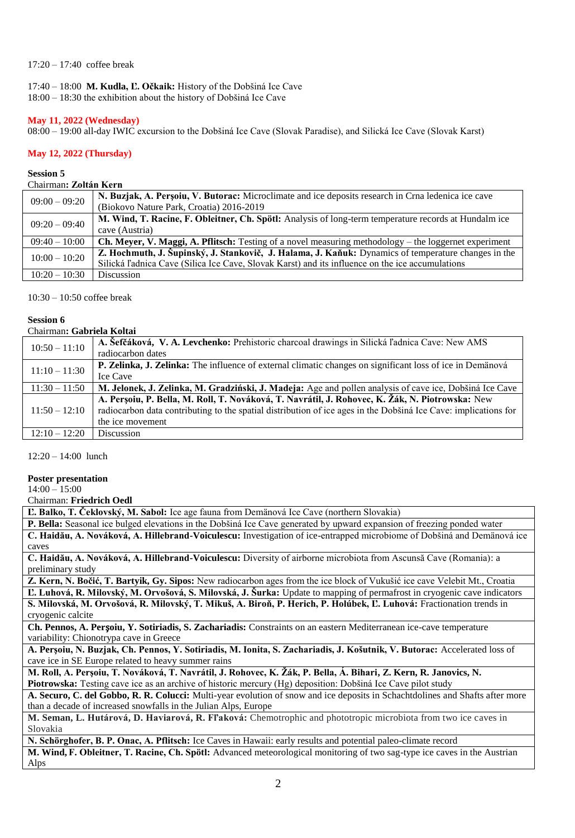#### 17:20 – 17:40 coffee break

# 17:40 – 18:00 **M. Kudla, Ľ. Očkaik:** History of the Dobšiná Ice Cave

18:00 – 18:30 the exhibition about the history of Dobšiná Ice Cave

#### **May 11, 2022 (Wednesday)**

08:00 – 19:00 all-day IWIC excursion to the Dobšiná Ice Cave (Slovak Paradise), and Silická Ice Cave (Slovak Karst)

#### **May 12, 2022 (Thursday)**

#### **Session 5**

# Chairman**: Zoltán Kern**

| $09:00 - 09:20$ | N. Buzjak, A. Persoiu, V. Butorac: Microclimate and ice deposits research in Crna ledenica ice cave          |
|-----------------|--------------------------------------------------------------------------------------------------------------|
|                 | (Biokovo Nature Park, Croatia) 2016-2019                                                                     |
| $09:20 - 09:40$ | M. Wind, T. Racine, F. Obleitner, Ch. Spötl: Analysis of long-term temperature records at Hundalm ice        |
|                 | cave (Austria)                                                                                               |
| $09:40 - 10:00$ | <b>Ch. Meyer, V. Maggi, A. Pflitsch:</b> Testing of a novel measuring methodology – the loggernet experiment |
| $10:00 - 10:20$ | Z. Hochmuth, J. Šupinský, J. Stankovič, J. Halama, J. Kaňuk: Dynamics of temperature changes in the          |
|                 | Silická l'adnica Cave (Silica Ice Cave, Slovak Karst) and its influence on the ice accumulations             |
| $10:20 - 10:30$ | <b>Discussion</b>                                                                                            |

10:30 – 10:50 coffee break

#### **Session 6**

| Chairman: Gabriela Koltai |  |                                |  |
|---------------------------|--|--------------------------------|--|
|                           |  | $\frac{1}{2}$ av $\frac{1}{2}$ |  |

| $10:50 - 11:10$ | A. Sefčáková, V. A. Levchenko: Prehistoric charcoal drawings in Silická ľadnica Cave: New AMS                   |
|-----------------|-----------------------------------------------------------------------------------------------------------------|
|                 | radiocarbon dates                                                                                               |
| $11:10 - 11:30$ | P. Zelinka, J. Zelinka: The influence of external climatic changes on significant loss of ice in Demänová       |
|                 | Ice Cave                                                                                                        |
| $11:30 - 11:50$ | M. Jelonek, J. Zelinka, M. Gradziński, J. Madeja: Age and pollen analysis of cave ice, Dobšiná Ice Cave         |
|                 | A. Persoiu, P. Bella, M. Roll, T. Nováková, T. Navrátil, J. Rohovec, K. Žák, N. Piotrowska: New                 |
| $11:50 - 12:10$ | radiocarbon data contributing to the spatial distribution of ice ages in the Dobšiná Ice Cave: implications for |
|                 | the ice movement                                                                                                |
| $12:10 - 12:20$ | <b>Discussion</b>                                                                                               |

12:20 – 14:00 lunch

#### **Poster presentation**

14:00 – 15:00

Chairman: **Friedrich Oedl**

| елан шан. т гилгилт ули                                                                                                       |
|-------------------------------------------------------------------------------------------------------------------------------|
| L. Balko, T. Čeklovský, M. Sabol: Ice age fauna from Demänová Ice Cave (northern Slovakia)                                    |
| P. Bella: Seasonal ice bulged elevations in the Dobšiná Ice Cave generated by upward expansion of freezing ponded water       |
| C. Haidău, A. Nováková, A. Hillebrand-Voiculescu: Investigation of ice-entrapped microbiome of Dobšiná and Demänová ice       |
| caves                                                                                                                         |
| C. Haidău, A. Nováková, A. Hillebrand-Voiculescu: Diversity of airborne microbiota from Ascunsă Cave (Romania): a             |
| preliminary study                                                                                                             |
| Z. Kern, N. Bočić, T. Bartyik, Gy. Sipos: New radiocarbon ages from the ice block of Vukušić ice cave Velebit Mt., Croatia    |
| L. Luhová, R. Milovský, M. Orvošová, S. Milovská, J. Šurka: Update to mapping of permafrost in cryogenic cave indicators      |
| S. Milovská, M. Orvošová, R. Milovský, T. Mikuš, A. Biroň, P. Herich, P. Holúbek, L. Luhová: Fractionation trends in          |
| cryogenic calcite                                                                                                             |
| Ch. Pennos, A. Persoiu, Y. Sotiriadis, S. Zachariadis: Constraints on an eastern Mediterranean ice-cave temperature           |
| variability: Chionotrypa cave in Greece                                                                                       |
| A. Persoiu, N. Buzjak, Ch. Pennos, Y. Sotiriadis, M. Ionita, S. Zachariadis, J. Košutnik, V. Butorac: Accelerated loss of     |
| cave ice in SE Europe related to heavy summer rains                                                                           |
| M. Roll, A. Perșoiu, T. Nováková, T. Navrátil, J. Rohovec, K. Žák, P. Bella, Á. Bihari, Z. Kern, R. Janovics, N.              |
| Piotrowska: Testing cave ice as an archive of historic mercury (Hg) deposition: Dobšiná Ice Cave pilot study                  |
| A. Securo, C. del Gobbo, R. R. Colucci: Multi-year evolution of snow and ice deposits in Schachtdolines and Shafts after more |
| than a decade of increased snowfalls in the Julian Alps, Europe                                                               |
| M. Seman, L. Hutárová, D. Haviarová, R. Fl'aková: Chemotrophic and phototropic microbiota from two ice caves in               |
| Slovakia                                                                                                                      |
| N. Schörghofer, B. P. Onac, A. Pflitsch: Ice Caves in Hawaii: early results and potential paleo-climate record                |
| M. Wind, F. Obleitner, T. Racine, Ch. Spötl: Advanced meteorological monitoring of two sag-type ice caves in the Austrian     |
| Alps                                                                                                                          |